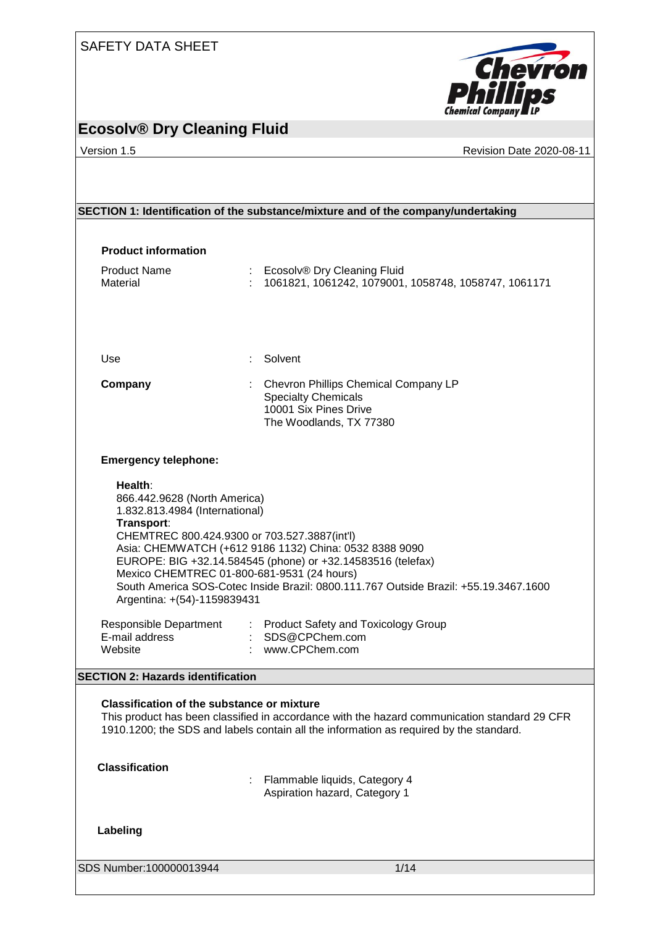

#### **Ecosolv® Dry Cleaning Fluid**

Version 1.5 Revision Date 2020-08-11

|                                                                                                                                                                           | SECTION 1: Identification of the substance/mixture and of the company/undertaking                                                                                                                                                                                                                                                                                        |
|---------------------------------------------------------------------------------------------------------------------------------------------------------------------------|--------------------------------------------------------------------------------------------------------------------------------------------------------------------------------------------------------------------------------------------------------------------------------------------------------------------------------------------------------------------------|
|                                                                                                                                                                           |                                                                                                                                                                                                                                                                                                                                                                          |
| <b>Product information</b>                                                                                                                                                |                                                                                                                                                                                                                                                                                                                                                                          |
| <b>Product Name</b><br>Material                                                                                                                                           | : Ecosolv® Dry Cleaning Fluid<br>1061821, 1061242, 1079001, 1058748, 1058747, 1061171                                                                                                                                                                                                                                                                                    |
| Use                                                                                                                                                                       | Solvent                                                                                                                                                                                                                                                                                                                                                                  |
| Company                                                                                                                                                                   | <b>Chevron Phillips Chemical Company LP</b><br><b>Specialty Chemicals</b><br>10001 Six Pines Drive<br>The Woodlands, TX 77380                                                                                                                                                                                                                                            |
| <b>Emergency telephone:</b>                                                                                                                                               |                                                                                                                                                                                                                                                                                                                                                                          |
| Health:<br>866.442.9628 (North America)<br>1.832.813.4984 (International)<br>Transport:<br>Argentina: +(54)-1159839431<br><b>Responsible Department</b><br>E-mail address | CHEMTREC 800.424.9300 or 703.527.3887(int'l)<br>Asia: CHEMWATCH (+612 9186 1132) China: 0532 8388 9090<br>EUROPE: BIG +32.14.584545 (phone) or +32.14583516 (telefax)<br>Mexico CHEMTREC 01-800-681-9531 (24 hours)<br>South America SOS-Cotec Inside Brazil: 0800.111.767 Outside Brazil: +55.19.3467.1600<br>: Product Safety and Toxicology Group<br>: SDS@CPChem.com |
| Website                                                                                                                                                                   | : www.CPChem.com                                                                                                                                                                                                                                                                                                                                                         |
| <b>SECTION 2: Hazards identification</b>                                                                                                                                  |                                                                                                                                                                                                                                                                                                                                                                          |
| <b>Classification of the substance or mixture</b>                                                                                                                         | This product has been classified in accordance with the hazard communication standard 29 CFR<br>1910.1200; the SDS and labels contain all the information as required by the standard.                                                                                                                                                                                   |
| <b>Classification</b>                                                                                                                                                     | Flammable liquids, Category 4<br>Aspiration hazard, Category 1                                                                                                                                                                                                                                                                                                           |
| Labeling                                                                                                                                                                  |                                                                                                                                                                                                                                                                                                                                                                          |
| SDS Number:100000013944                                                                                                                                                   | 1/14                                                                                                                                                                                                                                                                                                                                                                     |
|                                                                                                                                                                           |                                                                                                                                                                                                                                                                                                                                                                          |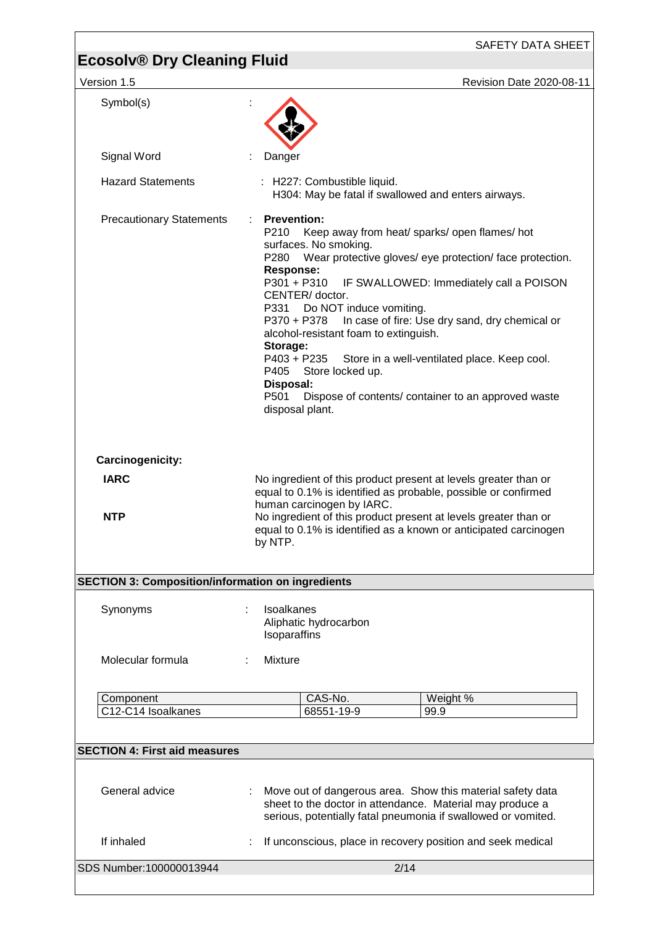SAFETY DATA SHEET

| Version 1.5                                              | <b>Revision Date 2020-08-11</b>                                                                                                                                                                                                                                                                                                                                                                                                                                                                                                                                                                                          |
|----------------------------------------------------------|--------------------------------------------------------------------------------------------------------------------------------------------------------------------------------------------------------------------------------------------------------------------------------------------------------------------------------------------------------------------------------------------------------------------------------------------------------------------------------------------------------------------------------------------------------------------------------------------------------------------------|
| Symbol(s)                                                |                                                                                                                                                                                                                                                                                                                                                                                                                                                                                                                                                                                                                          |
| Signal Word                                              | Danger                                                                                                                                                                                                                                                                                                                                                                                                                                                                                                                                                                                                                   |
| <b>Hazard Statements</b>                                 | : H227: Combustible liquid.<br>H304: May be fatal if swallowed and enters airways.                                                                                                                                                                                                                                                                                                                                                                                                                                                                                                                                       |
| <b>Precautionary Statements</b>                          | <b>Prevention:</b><br>P210 Keep away from heat/ sparks/ open flames/ hot<br>surfaces. No smoking.<br>Wear protective gloves/ eye protection/ face protection.<br>P280<br><b>Response:</b><br>P301 + P310<br>IF SWALLOWED: Immediately call a POISON<br>CENTER/doctor.<br>P331<br>Do NOT induce vomiting.<br>In case of fire: Use dry sand, dry chemical or<br>P370 + P378<br>alcohol-resistant foam to extinguish.<br>Storage:<br>P403 + P235<br>Store in a well-ventilated place. Keep cool.<br>P405<br>Store locked up.<br>Disposal:<br>P501<br>Dispose of contents/ container to an approved waste<br>disposal plant. |
| Carcinogenicity:<br><b>IARC</b>                          | No ingredient of this product present at levels greater than or                                                                                                                                                                                                                                                                                                                                                                                                                                                                                                                                                          |
| <b>NTP</b>                                               | equal to 0.1% is identified as probable, possible or confirmed<br>human carcinogen by IARC.<br>No ingredient of this product present at levels greater than or<br>equal to 0.1% is identified as a known or anticipated carcinogen<br>by NTP.                                                                                                                                                                                                                                                                                                                                                                            |
| <b>SECTION 3: Composition/information on ingredients</b> |                                                                                                                                                                                                                                                                                                                                                                                                                                                                                                                                                                                                                          |
| Synonyms                                                 | Isoalkanes<br>Aliphatic hydrocarbon<br>Isoparaffins                                                                                                                                                                                                                                                                                                                                                                                                                                                                                                                                                                      |
| Molecular formula                                        | Mixture                                                                                                                                                                                                                                                                                                                                                                                                                                                                                                                                                                                                                  |
| Component<br>C12-C14 Isoalkanes                          | CAS-No.<br>Weight %<br>68551-19-9<br>99.9                                                                                                                                                                                                                                                                                                                                                                                                                                                                                                                                                                                |
| <b>SECTION 4: First aid measures</b>                     |                                                                                                                                                                                                                                                                                                                                                                                                                                                                                                                                                                                                                          |
| General advice                                           | Move out of dangerous area. Show this material safety data<br>sheet to the doctor in attendance. Material may produce a<br>serious, potentially fatal pneumonia if swallowed or vomited.                                                                                                                                                                                                                                                                                                                                                                                                                                 |
| If inhaled                                               | If unconscious, place in recovery position and seek medical                                                                                                                                                                                                                                                                                                                                                                                                                                                                                                                                                              |
| SDS Number:100000013944                                  | 2/14                                                                                                                                                                                                                                                                                                                                                                                                                                                                                                                                                                                                                     |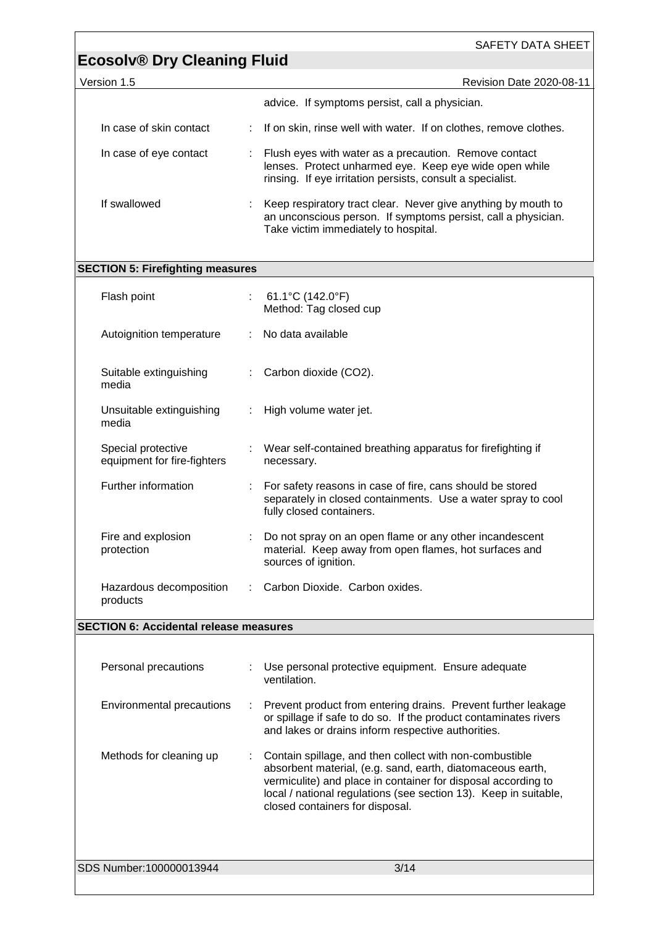Version 1.5 **Version 1.5** Revision Date 2020-08-11

| advice. If symptoms persist, call a physician.                                                                                                                                |
|-------------------------------------------------------------------------------------------------------------------------------------------------------------------------------|
| If on skin, rinse well with water. If on clothes, remove clothes.<br>t.                                                                                                       |
| Flush eyes with water as a precaution. Remove contact<br>lenses. Protect unharmed eye. Keep eye wide open while<br>rinsing. If eye irritation persists, consult a specialist. |
| Keep respiratory tract clear. Never give anything by mouth to<br>an unconscious person. If symptoms persist, call a physician.<br>Take victim immediately to hospital.        |
|                                                                                                                                                                               |

#### **SECTION 5: Firefighting measures**

| Flash point                                       | : $61.1^{\circ}$ C (142.0 $^{\circ}$ F)<br>Method: Tag closed cup                                                                                     |
|---------------------------------------------------|-------------------------------------------------------------------------------------------------------------------------------------------------------|
| Autoignition temperature                          | : No data available                                                                                                                                   |
| Suitable extinguishing<br>media                   | Carbon dioxide (CO2).                                                                                                                                 |
| Unsuitable extinguishing<br>media                 | : High volume water jet.                                                                                                                              |
| Special protective<br>equipment for fire-fighters | : Wear self-contained breathing apparatus for firefighting if<br>necessary.                                                                           |
| Further information                               | For safety reasons in case of fire, cans should be stored<br>separately in closed containments. Use a water spray to cool<br>fully closed containers. |
| Fire and explosion<br>protection                  | Do not spray on an open flame or any other incandescent<br>material. Keep away from open flames, hot surfaces and<br>sources of ignition.             |
| Hazardous decomposition<br>products               | Carbon Dioxide. Carbon oxides.                                                                                                                        |

#### **SECTION 6: Accidental release measures**

| Personal precautions      | Use personal protective equipment. Ensure adequate<br>ventilation.                                                                                                                                                                                                                              |
|---------------------------|-------------------------------------------------------------------------------------------------------------------------------------------------------------------------------------------------------------------------------------------------------------------------------------------------|
| Environmental precautions | : Prevent product from entering drains. Prevent further leakage<br>or spillage if safe to do so. If the product contaminates rivers<br>and lakes or drains inform respective authorities.                                                                                                       |
| Methods for cleaning up   | : Contain spillage, and then collect with non-combustible<br>absorbent material, (e.g. sand, earth, diatomaceous earth,<br>vermiculite) and place in container for disposal according to<br>local / national regulations (see section 13). Keep in suitable,<br>closed containers for disposal. |
| SDS Number:100000013944   | 3/14                                                                                                                                                                                                                                                                                            |
|                           |                                                                                                                                                                                                                                                                                                 |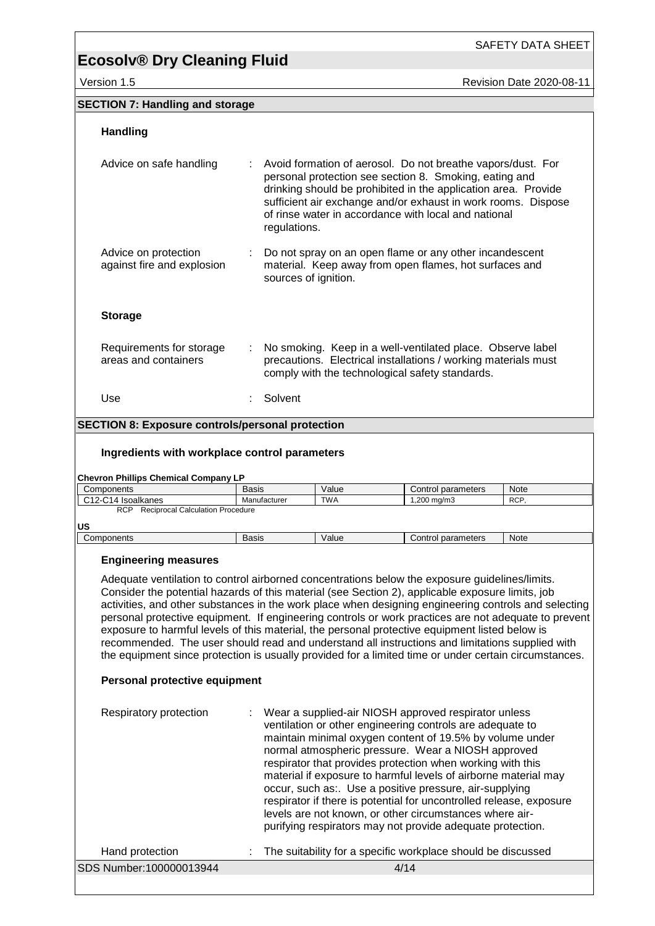SAFETY DATA SHEET

| Version 1.5 **Revision 1.5** Revision Date 2020-08-11

| <b>SECTION 7: Handling and storage</b>                                                                                                                                                                                                                                                                                                                                                                                                                                                                                                                                                                                                                                                                                                                          |              |                      |            |                                                                                                                                                                                                                                                                                                                                                                                                                                                                                                                                                                                                                                 |             |
|-----------------------------------------------------------------------------------------------------------------------------------------------------------------------------------------------------------------------------------------------------------------------------------------------------------------------------------------------------------------------------------------------------------------------------------------------------------------------------------------------------------------------------------------------------------------------------------------------------------------------------------------------------------------------------------------------------------------------------------------------------------------|--------------|----------------------|------------|---------------------------------------------------------------------------------------------------------------------------------------------------------------------------------------------------------------------------------------------------------------------------------------------------------------------------------------------------------------------------------------------------------------------------------------------------------------------------------------------------------------------------------------------------------------------------------------------------------------------------------|-------------|
| <b>Handling</b>                                                                                                                                                                                                                                                                                                                                                                                                                                                                                                                                                                                                                                                                                                                                                 |              |                      |            |                                                                                                                                                                                                                                                                                                                                                                                                                                                                                                                                                                                                                                 |             |
| Advice on safe handling                                                                                                                                                                                                                                                                                                                                                                                                                                                                                                                                                                                                                                                                                                                                         |              | regulations.         |            | Avoid formation of aerosol. Do not breathe vapors/dust. For<br>personal protection see section 8. Smoking, eating and<br>drinking should be prohibited in the application area. Provide<br>sufficient air exchange and/or exhaust in work rooms. Dispose<br>of rinse water in accordance with local and national                                                                                                                                                                                                                                                                                                                |             |
| Advice on protection<br>against fire and explosion                                                                                                                                                                                                                                                                                                                                                                                                                                                                                                                                                                                                                                                                                                              |              | sources of ignition. |            | Do not spray on an open flame or any other incandescent<br>material. Keep away from open flames, hot surfaces and                                                                                                                                                                                                                                                                                                                                                                                                                                                                                                               |             |
| <b>Storage</b>                                                                                                                                                                                                                                                                                                                                                                                                                                                                                                                                                                                                                                                                                                                                                  |              |                      |            |                                                                                                                                                                                                                                                                                                                                                                                                                                                                                                                                                                                                                                 |             |
| Requirements for storage<br>areas and containers                                                                                                                                                                                                                                                                                                                                                                                                                                                                                                                                                                                                                                                                                                                |              |                      |            | No smoking. Keep in a well-ventilated place. Observe label<br>precautions. Electrical installations / working materials must<br>comply with the technological safety standards.                                                                                                                                                                                                                                                                                                                                                                                                                                                 |             |
| Use                                                                                                                                                                                                                                                                                                                                                                                                                                                                                                                                                                                                                                                                                                                                                             |              | Solvent              |            |                                                                                                                                                                                                                                                                                                                                                                                                                                                                                                                                                                                                                                 |             |
| <b>SECTION 8: Exposure controls/personal protection</b>                                                                                                                                                                                                                                                                                                                                                                                                                                                                                                                                                                                                                                                                                                         |              |                      |            |                                                                                                                                                                                                                                                                                                                                                                                                                                                                                                                                                                                                                                 |             |
| Ingredients with workplace control parameters<br><b>Chevron Phillips Chemical Company LP</b>                                                                                                                                                                                                                                                                                                                                                                                                                                                                                                                                                                                                                                                                    |              |                      |            |                                                                                                                                                                                                                                                                                                                                                                                                                                                                                                                                                                                                                                 |             |
| Components                                                                                                                                                                                                                                                                                                                                                                                                                                                                                                                                                                                                                                                                                                                                                      | <b>Basis</b> |                      | Value      | Control parameters                                                                                                                                                                                                                                                                                                                                                                                                                                                                                                                                                                                                              | Note        |
| C12-C14 Isoalkanes<br>RCP Reciprocal Calculation Procedure<br>US                                                                                                                                                                                                                                                                                                                                                                                                                                                                                                                                                                                                                                                                                                |              | Manufacturer         | <b>TWA</b> | $1,200$ mg/m3                                                                                                                                                                                                                                                                                                                                                                                                                                                                                                                                                                                                                   | RCP.        |
| Components                                                                                                                                                                                                                                                                                                                                                                                                                                                                                                                                                                                                                                                                                                                                                      | <b>Basis</b> |                      | Value      | Control parameters                                                                                                                                                                                                                                                                                                                                                                                                                                                                                                                                                                                                              | <b>Note</b> |
| <b>Engineering measures</b><br>Adequate ventilation to control airborned concentrations below the exposure guidelines/limits.<br>Consider the potential hazards of this material (see Section 2), applicable exposure limits, job<br>activities, and other substances in the work place when designing engineering controls and selecting<br>personal protective equipment. If engineering controls or work practices are not adequate to prevent<br>exposure to harmful levels of this material, the personal protective equipment listed below is<br>recommended. The user should read and understand all instructions and limitations supplied with<br>the equipment since protection is usually provided for a limited time or under certain circumstances. |              |                      |            |                                                                                                                                                                                                                                                                                                                                                                                                                                                                                                                                                                                                                                 |             |
| Personal protective equipment                                                                                                                                                                                                                                                                                                                                                                                                                                                                                                                                                                                                                                                                                                                                   |              |                      |            |                                                                                                                                                                                                                                                                                                                                                                                                                                                                                                                                                                                                                                 |             |
| Respiratory protection                                                                                                                                                                                                                                                                                                                                                                                                                                                                                                                                                                                                                                                                                                                                          |              |                      |            | Wear a supplied-air NIOSH approved respirator unless<br>ventilation or other engineering controls are adequate to<br>maintain minimal oxygen content of 19.5% by volume under<br>normal atmospheric pressure. Wear a NIOSH approved<br>respirator that provides protection when working with this<br>material if exposure to harmful levels of airborne material may<br>occur, such as:. Use a positive pressure, air-supplying<br>respirator if there is potential for uncontrolled release, exposure<br>levels are not known, or other circumstances where air-<br>purifying respirators may not provide adequate protection. |             |

SDS Number:100000013944 4/14

Hand protection : The suitability for a specific workplace should be discussed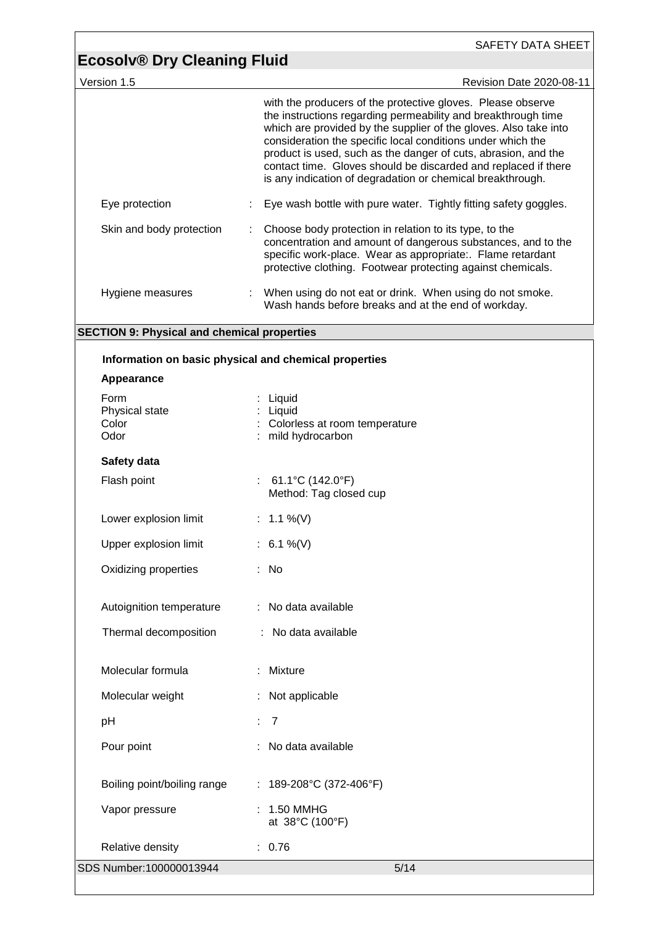|                                                    | SAFETY DATA SHEET                                                                                                                                                                                                                                                                                                                                                                                                                                                 |
|----------------------------------------------------|-------------------------------------------------------------------------------------------------------------------------------------------------------------------------------------------------------------------------------------------------------------------------------------------------------------------------------------------------------------------------------------------------------------------------------------------------------------------|
| <b>Ecosolv® Dry Cleaning Fluid</b><br>Version 1.5  | Revision Date 2020-08-11                                                                                                                                                                                                                                                                                                                                                                                                                                          |
|                                                    | with the producers of the protective gloves. Please observe<br>the instructions regarding permeability and breakthrough time<br>which are provided by the supplier of the gloves. Also take into<br>consideration the specific local conditions under which the<br>product is used, such as the danger of cuts, abrasion, and the<br>contact time. Gloves should be discarded and replaced if there<br>is any indication of degradation or chemical breakthrough. |
| Eye protection                                     | Eye wash bottle with pure water. Tightly fitting safety goggles.                                                                                                                                                                                                                                                                                                                                                                                                  |
| Skin and body protection                           | Choose body protection in relation to its type, to the<br>concentration and amount of dangerous substances, and to the<br>specific work-place. Wear as appropriate:. Flame retardant<br>protective clothing. Footwear protecting against chemicals.                                                                                                                                                                                                               |
| Hygiene measures                                   | When using do not eat or drink. When using do not smoke.<br>Wash hands before breaks and at the end of workday.                                                                                                                                                                                                                                                                                                                                                   |
| <b>SECTION 9: Physical and chemical properties</b> |                                                                                                                                                                                                                                                                                                                                                                                                                                                                   |
|                                                    | Information on basic physical and chemical properties                                                                                                                                                                                                                                                                                                                                                                                                             |
| Appearance                                         |                                                                                                                                                                                                                                                                                                                                                                                                                                                                   |
| Form<br>Physical state<br>Color<br>Odor            | Liquid<br>Liquid<br>Colorless at room temperature<br>mild hydrocarbon                                                                                                                                                                                                                                                                                                                                                                                             |
| Safety data                                        |                                                                                                                                                                                                                                                                                                                                                                                                                                                                   |
| Flash point                                        | : 61.1°C (142.0°F)<br>Method: Tag closed cup                                                                                                                                                                                                                                                                                                                                                                                                                      |
| Lower explosion limit                              | 1.1 %(V)                                                                                                                                                                                                                                                                                                                                                                                                                                                          |
| Upper explosion limit                              | : $6.1\%$ (V)                                                                                                                                                                                                                                                                                                                                                                                                                                                     |
| Oxidizing properties                               | : No                                                                                                                                                                                                                                                                                                                                                                                                                                                              |
| Autoignition temperature                           | : No data available                                                                                                                                                                                                                                                                                                                                                                                                                                               |
| Thermal decomposition                              | : No data available                                                                                                                                                                                                                                                                                                                                                                                                                                               |
| Molecular formula                                  | : Mixture                                                                                                                                                                                                                                                                                                                                                                                                                                                         |
| Molecular weight                                   | Not applicable                                                                                                                                                                                                                                                                                                                                                                                                                                                    |
| pH                                                 | : 7                                                                                                                                                                                                                                                                                                                                                                                                                                                               |
| Pour point                                         | No data available                                                                                                                                                                                                                                                                                                                                                                                                                                                 |
| Boiling point/boiling range                        | : $189-208$ °C (372-406°F)                                                                                                                                                                                                                                                                                                                                                                                                                                        |
| Vapor pressure                                     | 1.50 MMHG<br>at 38°C (100°F)                                                                                                                                                                                                                                                                                                                                                                                                                                      |
| Relative density                                   | : 0.76                                                                                                                                                                                                                                                                                                                                                                                                                                                            |
| SDS Number:100000013944                            | 5/14                                                                                                                                                                                                                                                                                                                                                                                                                                                              |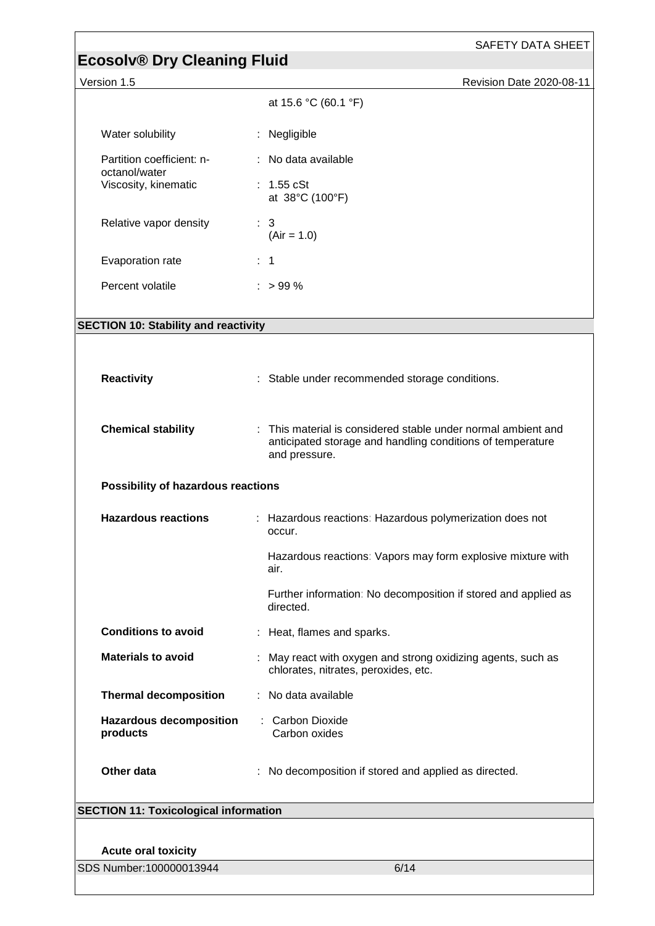| <b>Ecosolv® Dry Cleaning Fluid</b>           | SAFETY DATA SHEET                                                                                                                               |  |
|----------------------------------------------|-------------------------------------------------------------------------------------------------------------------------------------------------|--|
| Version 1.5<br>Revision Date 2020-08-11      |                                                                                                                                                 |  |
|                                              | at 15.6 °C (60.1 °F)                                                                                                                            |  |
| Water solubility                             | : Negligible                                                                                                                                    |  |
| Partition coefficient: n-<br>octanol/water   | : No data available                                                                                                                             |  |
| Viscosity, kinematic                         | : $1.55$ cSt<br>at 38°C (100°F)                                                                                                                 |  |
| Relative vapor density                       | $\therefore$ 3<br>$(Air = 1.0)$                                                                                                                 |  |
| Evaporation rate                             | $\therefore$ 1                                                                                                                                  |  |
| Percent volatile                             | $:$ > 99 %                                                                                                                                      |  |
| <b>SECTION 10: Stability and reactivity</b>  |                                                                                                                                                 |  |
|                                              |                                                                                                                                                 |  |
| <b>Reactivity</b>                            | : Stable under recommended storage conditions.                                                                                                  |  |
| <b>Chemical stability</b>                    | This material is considered stable under normal ambient and<br>÷<br>anticipated storage and handling conditions of temperature<br>and pressure. |  |
| Possibility of hazardous reactions           |                                                                                                                                                 |  |
| <b>Hazardous reactions</b>                   | : Hazardous reactions: Hazardous polymerization does not<br>occur.                                                                              |  |
|                                              | Hazardous reactions: Vapors may form explosive mixture with<br>air.                                                                             |  |
|                                              | Further information: No decomposition if stored and applied as<br>directed.                                                                     |  |
| <b>Conditions to avoid</b>                   | : Heat, flames and sparks.                                                                                                                      |  |
| <b>Materials to avoid</b>                    | May react with oxygen and strong oxidizing agents, such as<br>chlorates, nitrates, peroxides, etc.                                              |  |
| <b>Thermal decomposition</b>                 | No data available                                                                                                                               |  |
| <b>Hazardous decomposition</b><br>products   | : Carbon Dioxide<br>Carbon oxides                                                                                                               |  |
| Other data                                   | No decomposition if stored and applied as directed.                                                                                             |  |
| <b>SECTION 11: Toxicological information</b> |                                                                                                                                                 |  |
|                                              |                                                                                                                                                 |  |
| <b>Acute oral toxicity</b>                   |                                                                                                                                                 |  |
| SDS Number:100000013944                      | 6/14                                                                                                                                            |  |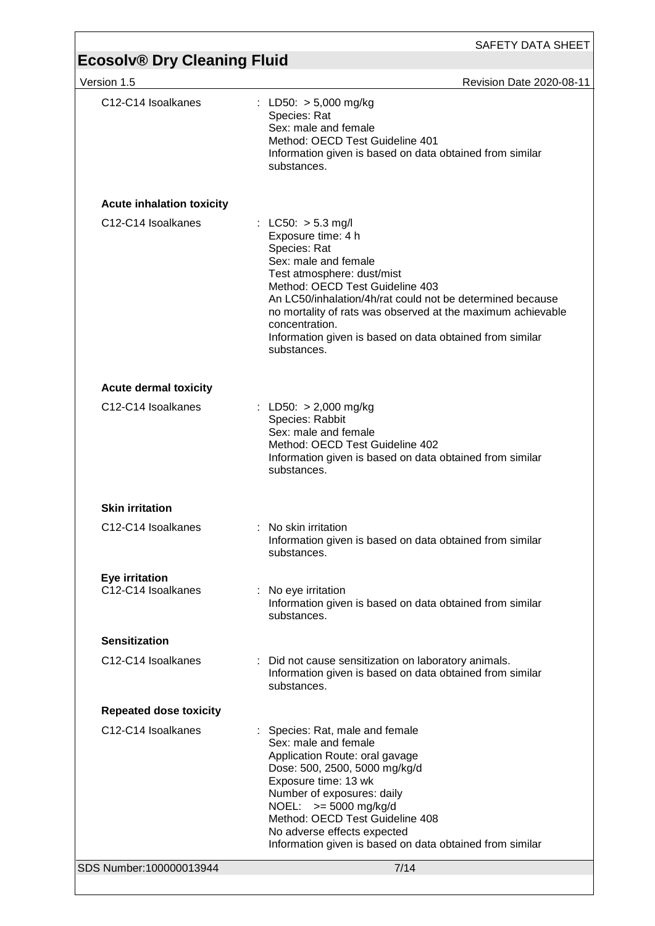## **Ecosolv® Dry Cleaning Fluid**

| Version 1.5                                 | <b>Revision Date 2020-08-11</b>                                                                                                                                                                                                                                                                                                                                              |
|---------------------------------------------|------------------------------------------------------------------------------------------------------------------------------------------------------------------------------------------------------------------------------------------------------------------------------------------------------------------------------------------------------------------------------|
| C12-C14 Isoalkanes                          | : LD50: $> 5,000$ mg/kg<br>Species: Rat<br>Sex: male and female<br>Method: OECD Test Guideline 401<br>Information given is based on data obtained from similar<br>substances.                                                                                                                                                                                                |
| <b>Acute inhalation toxicity</b>            |                                                                                                                                                                                                                                                                                                                                                                              |
| C12-C14 Isoalkanes                          | : LC50: $> 5.3$ mg/l<br>Exposure time: 4 h<br>Species: Rat<br>Sex: male and female<br>Test atmosphere: dust/mist<br>Method: OECD Test Guideline 403<br>An LC50/inhalation/4h/rat could not be determined because<br>no mortality of rats was observed at the maximum achievable<br>concentration.<br>Information given is based on data obtained from similar<br>substances. |
| <b>Acute dermal toxicity</b>                |                                                                                                                                                                                                                                                                                                                                                                              |
| C <sub>12</sub> -C <sub>14</sub> Isoalkanes | : LD50: $> 2,000$ mg/kg<br>Species: Rabbit<br>Sex: male and female<br>Method: OECD Test Guideline 402<br>Information given is based on data obtained from similar<br>substances.                                                                                                                                                                                             |
| <b>Skin irritation</b>                      |                                                                                                                                                                                                                                                                                                                                                                              |
| C12-C14 Isoalkanes                          | : No skin irritation<br>Information given is based on data obtained from similar<br>substances.                                                                                                                                                                                                                                                                              |
| <b>Eye irritation</b><br>C12-C14 Isoalkanes | : No eye irritation<br>Information given is based on data obtained from similar<br>substances.                                                                                                                                                                                                                                                                               |
| <b>Sensitization</b>                        |                                                                                                                                                                                                                                                                                                                                                                              |
| C12-C14 Isoalkanes                          | : Did not cause sensitization on laboratory animals.<br>Information given is based on data obtained from similar<br>substances.                                                                                                                                                                                                                                              |
| <b>Repeated dose toxicity</b>               |                                                                                                                                                                                                                                                                                                                                                                              |
| C12-C14 Isoalkanes                          | : Species: Rat, male and female<br>Sex: male and female<br>Application Route: oral gavage<br>Dose: 500, 2500, 5000 mg/kg/d<br>Exposure time: 13 wk<br>Number of exposures: daily<br>NOEL: $>= 5000$ mg/kg/d<br>Method: OECD Test Guideline 408<br>No adverse effects expected<br>Information given is based on data obtained from similar                                    |
| SDS Number:100000013944                     | 7/14                                                                                                                                                                                                                                                                                                                                                                         |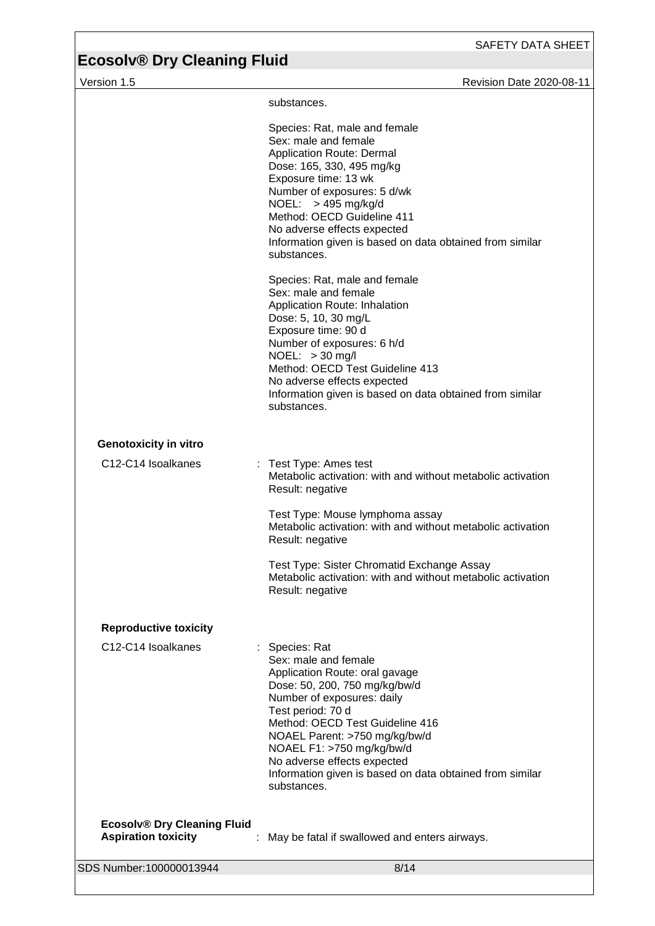version 1.5 **Version 1.5** Revision Date 2020-08-11

|                                                                  | substances.                                                                                                                                                                                                                                                                                                                                                             |
|------------------------------------------------------------------|-------------------------------------------------------------------------------------------------------------------------------------------------------------------------------------------------------------------------------------------------------------------------------------------------------------------------------------------------------------------------|
|                                                                  | Species: Rat, male and female<br>Sex: male and female<br>Application Route: Dermal<br>Dose: 165, 330, 495 mg/kg<br>Exposure time: 13 wk<br>Number of exposures: 5 d/wk<br>NOEL: > 495 mg/kg/d<br>Method: OECD Guideline 411<br>No adverse effects expected<br>Information given is based on data obtained from similar<br>substances.                                   |
|                                                                  | Species: Rat, male and female<br>Sex: male and female<br>Application Route: Inhalation<br>Dose: 5, 10, 30 mg/L<br>Exposure time: 90 d<br>Number of exposures: 6 h/d<br>NOEL: > 30 mg/l<br>Method: OECD Test Guideline 413<br>No adverse effects expected<br>Information given is based on data obtained from similar<br>substances.                                     |
| <b>Genotoxicity in vitro</b>                                     |                                                                                                                                                                                                                                                                                                                                                                         |
| C12-C14 Isoalkanes                                               | : Test Type: Ames test<br>Metabolic activation: with and without metabolic activation<br>Result: negative                                                                                                                                                                                                                                                               |
|                                                                  | Test Type: Mouse lymphoma assay<br>Metabolic activation: with and without metabolic activation<br>Result: negative                                                                                                                                                                                                                                                      |
|                                                                  | Test Type: Sister Chromatid Exchange Assay<br>Metabolic activation: with and without metabolic activation<br>Result: negative                                                                                                                                                                                                                                           |
| <b>Reproductive toxicity</b>                                     |                                                                                                                                                                                                                                                                                                                                                                         |
| C12-C14 Isoalkanes                                               | : Species: Rat<br>Sex: male and female<br>Application Route: oral gavage<br>Dose: 50, 200, 750 mg/kg/bw/d<br>Number of exposures: daily<br>Test period: 70 d<br>Method: OECD Test Guideline 416<br>NOAEL Parent: >750 mg/kg/bw/d<br>NOAEL F1: >750 mg/kg/bw/d<br>No adverse effects expected<br>Information given is based on data obtained from similar<br>substances. |
| <b>Ecosolv® Dry Cleaning Fluid</b><br><b>Aspiration toxicity</b> | May be fatal if swallowed and enters airways.                                                                                                                                                                                                                                                                                                                           |
| SDS Number:100000013944                                          | 8/14                                                                                                                                                                                                                                                                                                                                                                    |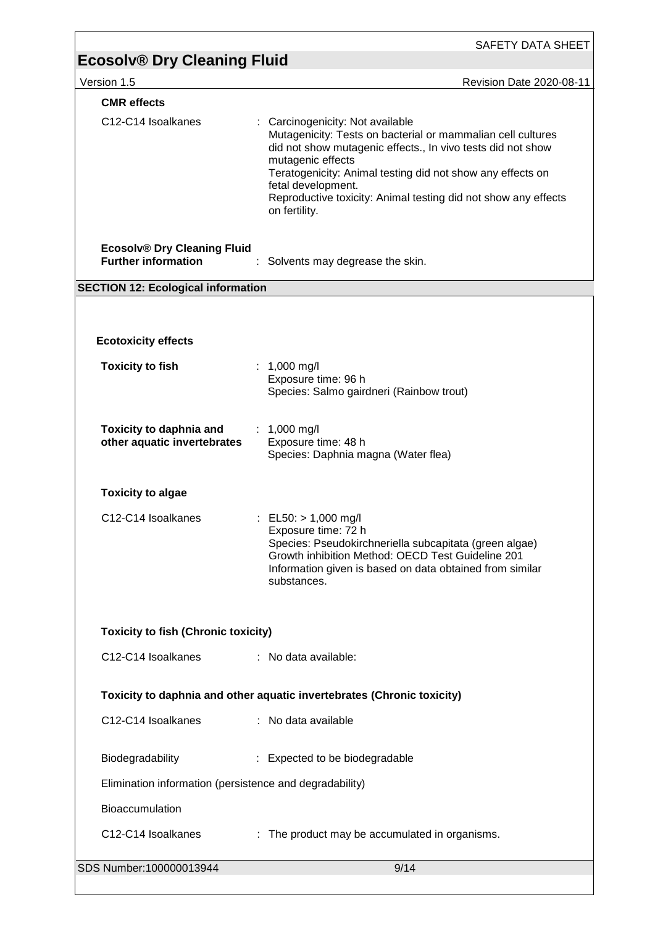|                                                                  | SAFETY DATA SHEET                                                                                                                                                                                                                                                                                                                                          |
|------------------------------------------------------------------|------------------------------------------------------------------------------------------------------------------------------------------------------------------------------------------------------------------------------------------------------------------------------------------------------------------------------------------------------------|
| <b>Ecosolv® Dry Cleaning Fluid</b>                               |                                                                                                                                                                                                                                                                                                                                                            |
| Version 1.5                                                      | Revision Date 2020-08-11                                                                                                                                                                                                                                                                                                                                   |
| <b>CMR</b> effects                                               |                                                                                                                                                                                                                                                                                                                                                            |
| C12-C14 Isoalkanes                                               | : Carcinogenicity: Not available<br>Mutagenicity: Tests on bacterial or mammalian cell cultures<br>did not show mutagenic effects., In vivo tests did not show<br>mutagenic effects<br>Teratogenicity: Animal testing did not show any effects on<br>fetal development.<br>Reproductive toxicity: Animal testing did not show any effects<br>on fertility. |
| <b>Ecosolv® Dry Cleaning Fluid</b><br><b>Further information</b> | : Solvents may degrease the skin.                                                                                                                                                                                                                                                                                                                          |
| <b>SECTION 12: Ecological information</b>                        |                                                                                                                                                                                                                                                                                                                                                            |
|                                                                  |                                                                                                                                                                                                                                                                                                                                                            |
|                                                                  |                                                                                                                                                                                                                                                                                                                                                            |
| <b>Ecotoxicity effects</b>                                       |                                                                                                                                                                                                                                                                                                                                                            |
| <b>Toxicity to fish</b>                                          | : $1,000 \text{ mg/l}$<br>Exposure time: 96 h<br>Species: Salmo gairdneri (Rainbow trout)                                                                                                                                                                                                                                                                  |
| <b>Toxicity to daphnia and</b><br>other aquatic invertebrates    | : $1,000 \text{ mg/l}$<br>Exposure time: 48 h<br>Species: Daphnia magna (Water flea)                                                                                                                                                                                                                                                                       |
| <b>Toxicity to algae</b>                                         |                                                                                                                                                                                                                                                                                                                                                            |
| C12-C14 Isoalkanes                                               | : EL50: $> 1,000$ mg/l<br>Exposure time: 72 h<br>Species: Pseudokirchneriella subcapitata (green algae)<br>Growth inhibition Method: OECD Test Guideline 201<br>Information given is based on data obtained from similar<br>substances.                                                                                                                    |
| <b>Toxicity to fish (Chronic toxicity)</b>                       |                                                                                                                                                                                                                                                                                                                                                            |
| C12-C14 Isoalkanes                                               | : No data available:                                                                                                                                                                                                                                                                                                                                       |
|                                                                  | Toxicity to daphnia and other aquatic invertebrates (Chronic toxicity)                                                                                                                                                                                                                                                                                     |
| C12-C14 Isoalkanes                                               | : No data available                                                                                                                                                                                                                                                                                                                                        |
| Biodegradability                                                 | : Expected to be biodegradable                                                                                                                                                                                                                                                                                                                             |
| Elimination information (persistence and degradability)          |                                                                                                                                                                                                                                                                                                                                                            |
| Bioaccumulation                                                  |                                                                                                                                                                                                                                                                                                                                                            |
| C12-C14 Isoalkanes                                               | : The product may be accumulated in organisms.                                                                                                                                                                                                                                                                                                             |
| SDS Number:100000013944                                          | 9/14                                                                                                                                                                                                                                                                                                                                                       |
|                                                                  |                                                                                                                                                                                                                                                                                                                                                            |

ſ

 $\overline{\phantom{0}}$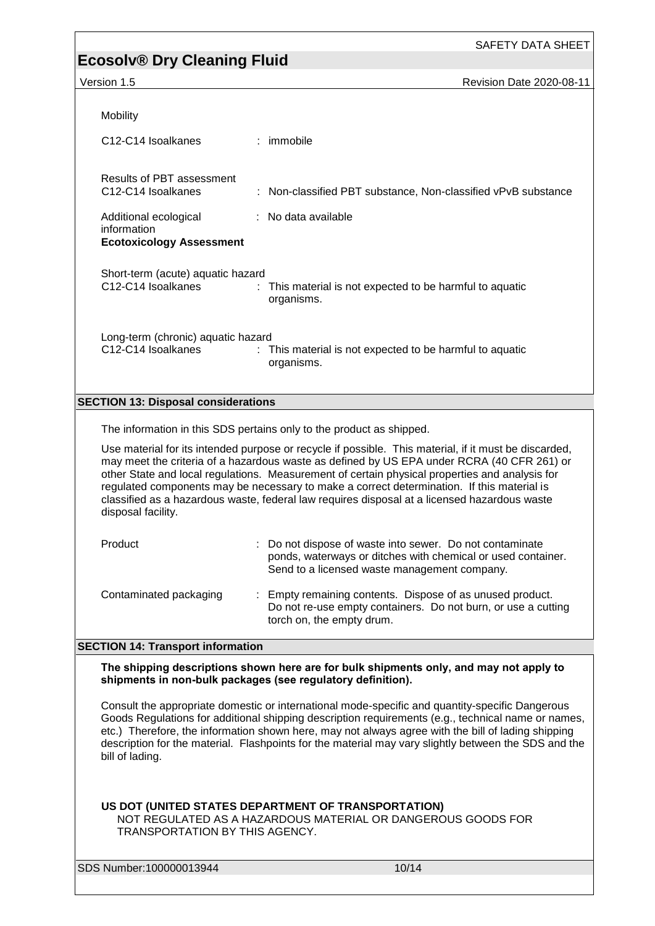## **Ecosolv® Dry Cleaning Fluid**

Version 1.5 **Revision Date 2020-08-11** 

| Mobility                                                                |                                                                                                                                                                                                                                                                                                                                                                                                                                                                                                     |
|-------------------------------------------------------------------------|-----------------------------------------------------------------------------------------------------------------------------------------------------------------------------------------------------------------------------------------------------------------------------------------------------------------------------------------------------------------------------------------------------------------------------------------------------------------------------------------------------|
| C <sub>12</sub> -C <sub>14</sub> Isoalkanes                             | : immobile                                                                                                                                                                                                                                                                                                                                                                                                                                                                                          |
| <b>Results of PBT assessment</b><br>C12-C14 Isoalkanes                  | : Non-classified PBT substance, Non-classified vPvB substance                                                                                                                                                                                                                                                                                                                                                                                                                                       |
| Additional ecological<br>information<br><b>Ecotoxicology Assessment</b> | : No data available                                                                                                                                                                                                                                                                                                                                                                                                                                                                                 |
| Short-term (acute) aquatic hazard<br>C12-C14 Isoalkanes                 | : This material is not expected to be harmful to aquatic<br>organisms.                                                                                                                                                                                                                                                                                                                                                                                                                              |
| Long-term (chronic) aquatic hazard<br>C12-C14 Isoalkanes                | : This material is not expected to be harmful to aquatic<br>organisms.                                                                                                                                                                                                                                                                                                                                                                                                                              |
| <b>SECTION 13: Disposal considerations</b>                              |                                                                                                                                                                                                                                                                                                                                                                                                                                                                                                     |
|                                                                         | The information in this SDS pertains only to the product as shipped.                                                                                                                                                                                                                                                                                                                                                                                                                                |
| disposal facility.                                                      | Use material for its intended purpose or recycle if possible. This material, if it must be discarded,<br>may meet the criteria of a hazardous waste as defined by US EPA under RCRA (40 CFR 261) or<br>other State and local regulations. Measurement of certain physical properties and analysis for<br>regulated components may be necessary to make a correct determination. If this material is<br>classified as a hazardous waste, federal law requires disposal at a licensed hazardous waste |
| Product                                                                 | : Do not dispose of waste into sewer. Do not contaminate<br>ponds, waterways or ditches with chemical or used container.<br>Send to a licensed waste management company.                                                                                                                                                                                                                                                                                                                            |
| Contaminated packaging                                                  | Empty remaining contents. Dispose of as unused product.<br>Do not re-use empty containers. Do not burn, or use a cutting<br>torch on, the empty drum.                                                                                                                                                                                                                                                                                                                                               |
| <b>SECTION 14: Transport information</b>                                |                                                                                                                                                                                                                                                                                                                                                                                                                                                                                                     |
| shipments in non-bulk packages (see regulatory definition).             | The shipping descriptions shown here are for bulk shipments only, and may not apply to                                                                                                                                                                                                                                                                                                                                                                                                              |
| bill of lading.                                                         | Consult the appropriate domestic or international mode-specific and quantity-specific Dangerous<br>Goods Regulations for additional shipping description requirements (e.g., technical name or names,<br>etc.) Therefore, the information shown here, may not always agree with the bill of lading shipping<br>description for the material. Flashpoints for the material may vary slightly between the SDS and the                                                                                 |
| TRANSPORTATION BY THIS AGENCY.                                          | US DOT (UNITED STATES DEPARTMENT OF TRANSPORTATION)<br>NOT REGULATED AS A HAZARDOUS MATERIAL OR DANGEROUS GOODS FOR                                                                                                                                                                                                                                                                                                                                                                                 |
| SDS Number:100000013944                                                 | 10/14                                                                                                                                                                                                                                                                                                                                                                                                                                                                                               |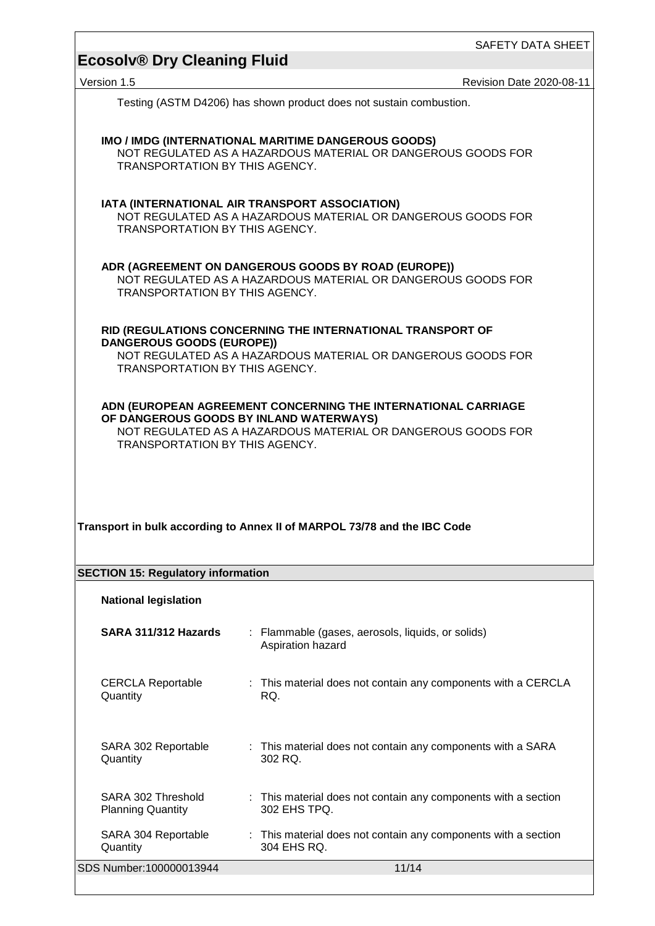Version 1.5 **Version 1.5** Revision Date 2020-08-11

Testing (ASTM D4206) has shown product does not sustain combustion.

| <b>TRANSPORTATION BY THIS AGENCY.</b>                                                                                                                                                                      | IMO / IMDG (INTERNATIONAL MARITIME DANGEROUS GOODS)<br>NOT REGULATED AS A HAZARDOUS MATERIAL OR DANGEROUS GOODS FOR |  |  |  |  |
|------------------------------------------------------------------------------------------------------------------------------------------------------------------------------------------------------------|---------------------------------------------------------------------------------------------------------------------|--|--|--|--|
| IATA (INTERNATIONAL AIR TRANSPORT ASSOCIATION)<br>NOT REGULATED AS A HAZARDOUS MATERIAL OR DANGEROUS GOODS FOR<br>TRANSPORTATION BY THIS AGENCY.                                                           |                                                                                                                     |  |  |  |  |
| ADR (AGREEMENT ON DANGEROUS GOODS BY ROAD (EUROPE))<br>NOT REGULATED AS A HAZARDOUS MATERIAL OR DANGEROUS GOODS FOR<br><b>TRANSPORTATION BY THIS AGENCY.</b>                                               |                                                                                                                     |  |  |  |  |
| RID (REGULATIONS CONCERNING THE INTERNATIONAL TRANSPORT OF<br><b>DANGEROUS GOODS (EUROPE))</b><br>NOT REGULATED AS A HAZARDOUS MATERIAL OR DANGEROUS GOODS FOR<br>TRANSPORTATION BY THIS AGENCY.           |                                                                                                                     |  |  |  |  |
| ADN (EUROPEAN AGREEMENT CONCERNING THE INTERNATIONAL CARRIAGE<br>OF DANGEROUS GOODS BY INLAND WATERWAYS)<br>NOT REGULATED AS A HAZARDOUS MATERIAL OR DANGEROUS GOODS FOR<br>TRANSPORTATION BY THIS AGENCY. |                                                                                                                     |  |  |  |  |
|                                                                                                                                                                                                            |                                                                                                                     |  |  |  |  |
|                                                                                                                                                                                                            | Transport in bulk according to Annex II of MARPOL 73/78 and the IBC Code                                            |  |  |  |  |
| <b>SECTION 15: Regulatory information</b><br><b>National legislation</b>                                                                                                                                   |                                                                                                                     |  |  |  |  |
| SARA 311/312 Hazards                                                                                                                                                                                       | : Flammable (gases, aerosols, liquids, or solids)<br>Aspiration hazard                                              |  |  |  |  |
| <b>CERCLA Reportable</b><br>Quantity                                                                                                                                                                       | : This material does not contain any components with a CERCLA<br>RQ.                                                |  |  |  |  |
| SARA 302 Reportable<br>Quantity                                                                                                                                                                            | : This material does not contain any components with a SARA<br>302 RQ.                                              |  |  |  |  |
| SARA 302 Threshold<br><b>Planning Quantity</b>                                                                                                                                                             | : This material does not contain any components with a section<br>302 EHS TPQ.                                      |  |  |  |  |

SDS Number:100000013944 11/14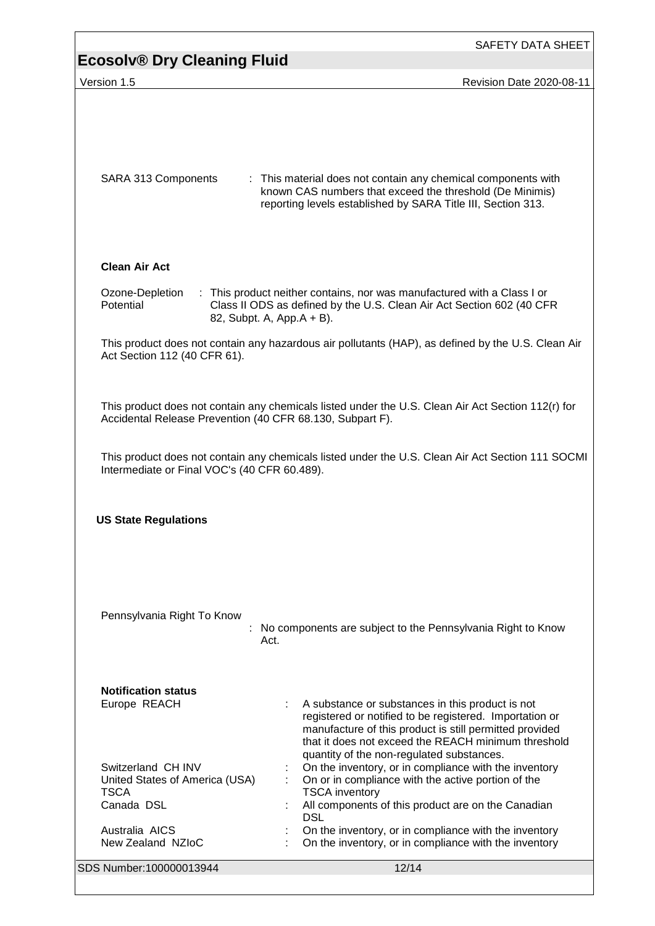| <b>Ecosolv® Dry Cleaning Fluid</b>                                                | SAFETY DATA SHEET                                                                                                                                                                                                                                                          |
|-----------------------------------------------------------------------------------|----------------------------------------------------------------------------------------------------------------------------------------------------------------------------------------------------------------------------------------------------------------------------|
| Version 1.5                                                                       | Revision Date 2020-08-11                                                                                                                                                                                                                                                   |
| SARA 313 Components                                                               | : This material does not contain any chemical components with<br>known CAS numbers that exceed the threshold (De Minimis)<br>reporting levels established by SARA Title III, Section 313.                                                                                  |
| <b>Clean Air Act</b>                                                              |                                                                                                                                                                                                                                                                            |
| Ozone-Depletion<br>Potential                                                      | : This product neither contains, nor was manufactured with a Class I or<br>Class II ODS as defined by the U.S. Clean Air Act Section 602 (40 CFR<br>82, Subpt. A, App.A + B).                                                                                              |
| Act Section 112 (40 CFR 61).                                                      | This product does not contain any hazardous air pollutants (HAP), as defined by the U.S. Clean Air                                                                                                                                                                         |
| Accidental Release Prevention (40 CFR 68.130, Subpart F).                         | This product does not contain any chemicals listed under the U.S. Clean Air Act Section 112(r) for                                                                                                                                                                         |
| Intermediate or Final VOC's (40 CFR 60.489).                                      | This product does not contain any chemicals listed under the U.S. Clean Air Act Section 111 SOCMI                                                                                                                                                                          |
| <b>US State Regulations</b>                                                       |                                                                                                                                                                                                                                                                            |
| Pennsylvania Right To Know                                                        | No components are subject to the Pennsylvania Right to Know<br>Act.                                                                                                                                                                                                        |
| <b>Notification status</b><br>Europe REACH                                        | A substance or substances in this product is not<br>registered or notified to be registered. Importation or<br>manufacture of this product is still permitted provided<br>that it does not exceed the REACH minimum threshold<br>quantity of the non-regulated substances. |
| Switzerland CH INV<br>United States of America (USA)<br><b>TSCA</b><br>Canada DSL | On the inventory, or in compliance with the inventory<br>On or in compliance with the active portion of the<br><b>TSCA</b> inventory<br>All components of this product are on the Canadian<br><b>DSL</b>                                                                   |
| Australia AICS<br>New Zealand NZIoC                                               | On the inventory, or in compliance with the inventory<br>On the inventory, or in compliance with the inventory                                                                                                                                                             |
| SDS Number:100000013944                                                           | 12/14                                                                                                                                                                                                                                                                      |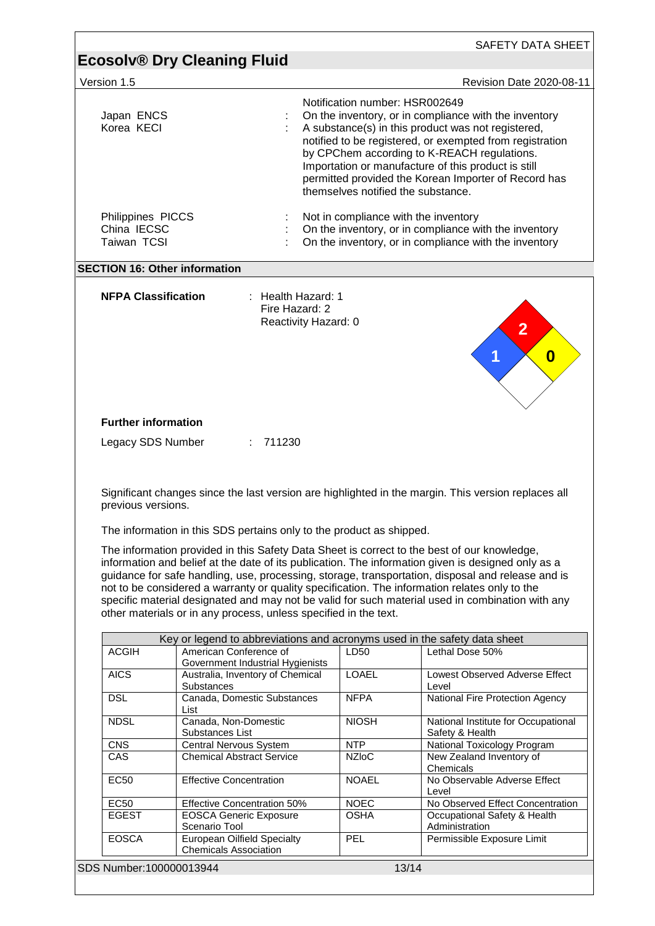| Version 1.5                                     |                                                                                                                                                                                                                                                                  |                                                                                                                                                                                                                                                                                                                                                                                                               |                                                                                                                                                                                                                                                                                                             |  |
|-------------------------------------------------|------------------------------------------------------------------------------------------------------------------------------------------------------------------------------------------------------------------------------------------------------------------|---------------------------------------------------------------------------------------------------------------------------------------------------------------------------------------------------------------------------------------------------------------------------------------------------------------------------------------------------------------------------------------------------------------|-------------------------------------------------------------------------------------------------------------------------------------------------------------------------------------------------------------------------------------------------------------------------------------------------------------|--|
|                                                 |                                                                                                                                                                                                                                                                  |                                                                                                                                                                                                                                                                                                                                                                                                               | Revision Date 2020-08-11                                                                                                                                                                                                                                                                                    |  |
| Japan ENCS<br>Korea KECI                        |                                                                                                                                                                                                                                                                  | Notification number: HSR002649<br>On the inventory, or in compliance with the inventory<br>A substance(s) in this product was not registered,<br>notified to be registered, or exempted from registration<br>by CPChem according to K-REACH regulations.<br>Importation or manufacture of this product is still<br>permitted provided the Korean Importer of Record has<br>themselves notified the substance. |                                                                                                                                                                                                                                                                                                             |  |
| Philippines PICCS<br>China IECSC<br>Taiwan TCSI |                                                                                                                                                                                                                                                                  | Not in compliance with the inventory<br>On the inventory, or in compliance with the inventory<br>On the inventory, or in compliance with the inventory                                                                                                                                                                                                                                                        |                                                                                                                                                                                                                                                                                                             |  |
|                                                 | <b>SECTION 16: Other information</b>                                                                                                                                                                                                                             |                                                                                                                                                                                                                                                                                                                                                                                                               |                                                                                                                                                                                                                                                                                                             |  |
| <b>NFPA Classification</b>                      | : Health Hazard: $1$<br>Fire Hazard: 2<br>Reactivity Hazard: 0                                                                                                                                                                                                   |                                                                                                                                                                                                                                                                                                                                                                                                               | $\overline{2}$<br>$\boldsymbol{0}$                                                                                                                                                                                                                                                                          |  |
| <b>Further information</b>                      |                                                                                                                                                                                                                                                                  |                                                                                                                                                                                                                                                                                                                                                                                                               |                                                                                                                                                                                                                                                                                                             |  |
| Legacy SDS Number                               | 711230<br>÷                                                                                                                                                                                                                                                      |                                                                                                                                                                                                                                                                                                                                                                                                               |                                                                                                                                                                                                                                                                                                             |  |
|                                                 |                                                                                                                                                                                                                                                                  |                                                                                                                                                                                                                                                                                                                                                                                                               |                                                                                                                                                                                                                                                                                                             |  |
| previous versions.                              |                                                                                                                                                                                                                                                                  |                                                                                                                                                                                                                                                                                                                                                                                                               | Significant changes since the last version are highlighted in the margin. This version replaces all                                                                                                                                                                                                         |  |
|                                                 | The information in this SDS pertains only to the product as shipped.                                                                                                                                                                                             |                                                                                                                                                                                                                                                                                                                                                                                                               |                                                                                                                                                                                                                                                                                                             |  |
|                                                 | The information provided in this Safety Data Sheet is correct to the best of our knowledge,<br>not to be considered a warranty or quality specification. The information relates only to the<br>other materials or in any process, unless specified in the text. |                                                                                                                                                                                                                                                                                                                                                                                                               | information and belief at the date of its publication. The information given is designed only as a<br>guidance for safe handling, use, processing, storage, transportation, disposal and release and is<br>specific material designated and may not be valid for such material used in combination with any |  |
|                                                 |                                                                                                                                                                                                                                                                  |                                                                                                                                                                                                                                                                                                                                                                                                               |                                                                                                                                                                                                                                                                                                             |  |
| <b>ACGIH</b>                                    | Key or legend to abbreviations and acronyms used in the safety data sheet<br>American Conference of                                                                                                                                                              | LD50                                                                                                                                                                                                                                                                                                                                                                                                          | Lethal Dose 50%                                                                                                                                                                                                                                                                                             |  |
| <b>AICS</b>                                     | Government Industrial Hygienists<br>Australia, Inventory of Chemical                                                                                                                                                                                             | <b>LOAEL</b>                                                                                                                                                                                                                                                                                                                                                                                                  | Lowest Observed Adverse Effect                                                                                                                                                                                                                                                                              |  |
| <b>DSL</b>                                      | Substances<br>Canada, Domestic Substances                                                                                                                                                                                                                        | <b>NFPA</b>                                                                                                                                                                                                                                                                                                                                                                                                   | Level<br>National Fire Protection Agency                                                                                                                                                                                                                                                                    |  |
| <b>NDSL</b>                                     | List<br>Canada, Non-Domestic                                                                                                                                                                                                                                     | <b>NIOSH</b>                                                                                                                                                                                                                                                                                                                                                                                                  | National Institute for Occupational                                                                                                                                                                                                                                                                         |  |
| <b>CNS</b>                                      | Substances List                                                                                                                                                                                                                                                  | <b>NTP</b>                                                                                                                                                                                                                                                                                                                                                                                                    | Safety & Health                                                                                                                                                                                                                                                                                             |  |
| CAS                                             | Central Nervous System<br><b>Chemical Abstract Service</b>                                                                                                                                                                                                       | <b>NZIoC</b>                                                                                                                                                                                                                                                                                                                                                                                                  | National Toxicology Program<br>New Zealand Inventory of                                                                                                                                                                                                                                                     |  |
| <b>EC50</b>                                     | <b>Effective Concentration</b>                                                                                                                                                                                                                                   | <b>NOAEL</b>                                                                                                                                                                                                                                                                                                                                                                                                  | Chemicals<br>No Observable Adverse Effect<br>Level                                                                                                                                                                                                                                                          |  |
| <b>EC50</b><br><b>EGEST</b>                     | Effective Concentration 50%<br><b>EOSCA Generic Exposure</b>                                                                                                                                                                                                     | <b>NOEC</b><br><b>OSHA</b>                                                                                                                                                                                                                                                                                                                                                                                    | Occupational Safety & Health                                                                                                                                                                                                                                                                                |  |
| <b>EOSCA</b>                                    | Scenario Tool<br><b>European Oilfield Specialty</b><br><b>Chemicals Association</b>                                                                                                                                                                              | PEL                                                                                                                                                                                                                                                                                                                                                                                                           | No Observed Effect Concentration<br>Administration<br>Permissible Exposure Limit                                                                                                                                                                                                                            |  |